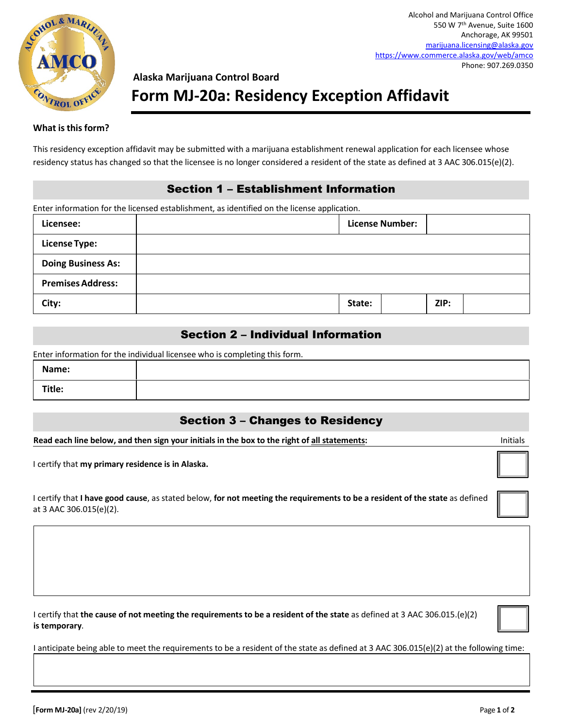

# **Alaska Marijuana Control Board Form MJ-20a: Residency Exception Affidavit**

#### **What isthisform?**

This residency exception affidavit may be submitted with a marijuana establishment renewal application for each licensee whose residency status has changed so that the licensee is no longer considered a resident of the state as defined at 3 AAC 306.015(e)(2).

#### Section 1 – Establishment Information

Enter information for the licensed establishment, as identified on the license application.

| Licensee:                 |        | <b>License Number:</b> |  |
|---------------------------|--------|------------------------|--|
| <b>License Type:</b>      |        |                        |  |
| <b>Doing Business As:</b> |        |                        |  |
| <b>Premises Address:</b>  |        |                        |  |
| City:                     | State: | ZIP:                   |  |

#### Section 2 – Individual Information

Enter information for the individual licensee who is completing this form.

| Name:  |  |
|--------|--|
| Title: |  |

## Section 3 – Changes to Residency

**Read each line below, and then sign your initials in the box to the right of all statements:** Initials

I certify that **my primary residence is in Alaska.**

I certify that **I have good cause**, as stated below, **for not meeting the requirements to be a resident of the state** as defined at 3 AAC 306.015(e)(2).

I certify that **the cause of not meeting the requirements to be a resident of the state** as defined at 3 AAC 306.015.(e)(2) **is temporary**.

I anticipate being able to meet the requirements to be a resident of the state as defined at 3 AAC 306.015(e)(2) at the following time: